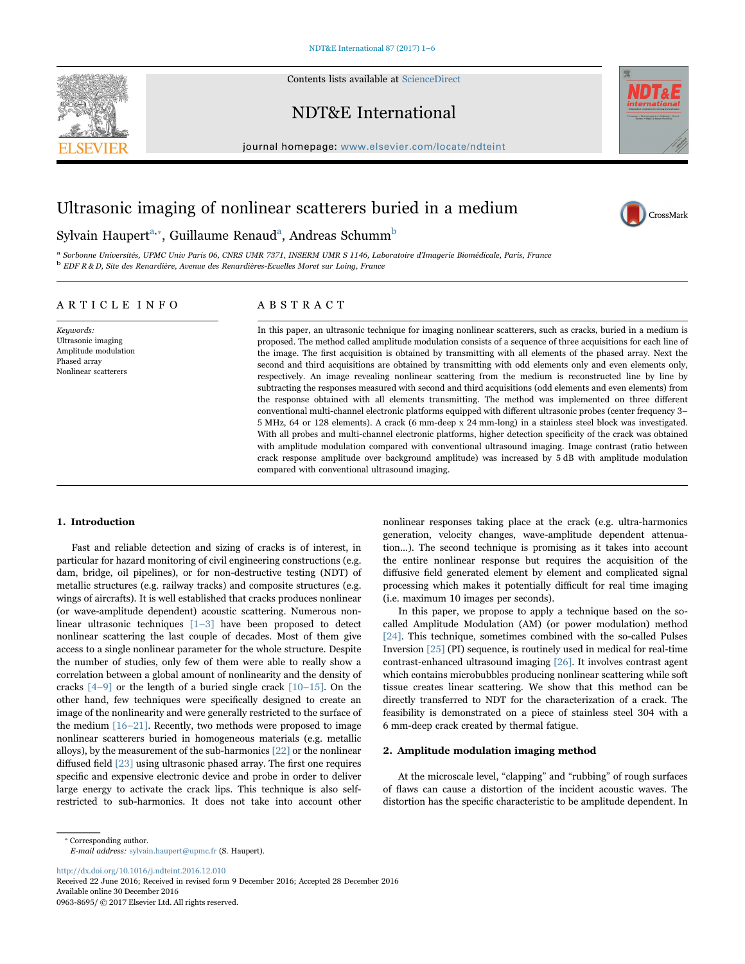Contents lists available at ScienceDirect

# NDT&E International



CrossMark

journal homepage: www.elsevier.com/locate/ndteint

# Ultrasonic imaging of nonlinear scatterers buried in a medium

# Sylvain Haupert $^{\rm a, *}$ , Guillaume Renaud $^{\rm a}$ , Andreas Schumm $^{\rm b}$

<sup>a</sup> Sorbonne Universités, UPMC Univ Paris 06, CNRS UMR 7371, INSERM UMR S 1146, Laboratoire d'Imagerie Biomédicale, Paris, France b EDF R & D, Site des Renardière, Avenue des Renardières-Ecuelles Moret sur Loing, France

## ARTICLE INFO

Keywords: Ultrasonic imaging Amplitude modulation Phased array Nonlinear scatterers

## ABSTRACT

In this paper, an ultrasonic technique for imaging nonlinear scatterers, such as cracks, buried in a medium is proposed. The method called amplitude modulation consists of a sequence of three acquisitions for each line of the image. The first acquisition is obtained by transmitting with all elements of the phased array. Next the second and third acquisitions are obtained by transmitting with odd elements only and even elements only, respectively. An image revealing nonlinear scattering from the medium is reconstructed line by line by subtracting the responses measured with second and third acquisitions (odd elements and even elements) from the response obtained with all elements transmitting. The method was implemented on three different conventional multi-channel electronic platforms equipped with different ultrasonic probes (center frequency 3– 5 MHz, 64 or 128 elements). A crack (6 mm-deep x 24 mm-long) in a stainless steel block was investigated. With all probes and multi-channel electronic platforms, higher detection specificity of the crack was obtained with amplitude modulation compared with conventional ultrasound imaging. Image contrast (ratio between crack response amplitude over background amplitude) was increased by 5 dB with amplitude modulation compared with conventional ultrasound imaging.

### 1. Introduction

Fast and reliable detection and sizing of cracks is of interest, in particular for hazard monitoring of civil engineering constructions (e.g. dam, bridge, oil pipelines), or for non-destructive testing (NDT) of metallic structures (e.g. railway tracks) and composite structures (e.g. wings of aircrafts). It is well established that cracks produces nonlinear (or wave-amplitude dependent) acoustic scattering. Numerous nonlinear ultrasonic techniques  $\lceil 1-3 \rceil$  have been proposed to detect nonlinear scattering the last couple of decades. Most of them give access to a single nonlinear parameter for the whole structure. Despite the number of studies, only few of them were able to really show a correlation between a global amount of nonlinearity and the density of cracks  $\lceil 4-9 \rceil$  or the length of a buried single crack  $\lceil 10-15 \rceil$ . On the other hand, few techniques were specifically designed to create an image of the nonlinearity and were generally restricted to the surface of the medium  $[16–21]$ . Recently, two methods were proposed to image nonlinear scatterers buried in homogeneous materials (e.g. metallic alloys), by the measurement of the sub-harmonics [22] or the nonlinear diffused field [23] using ultrasonic phased array. The first one requires specific and expensive electronic device and probe in order to deliver large energy to activate the crack lips. This technique is also selfrestricted to sub-harmonics. It does not take into account other

nonlinear responses taking place at the crack (e.g. ultra-harmonics generation, velocity changes, wave-amplitude dependent attenuation…). The second technique is promising as it takes into account the entire nonlinear response but requires the acquisition of the diffusive field generated element by element and complicated signal processing which makes it potentially difficult for real time imaging (i.e. maximum 10 images per seconds).

In this paper, we propose to apply a technique based on the socalled Amplitude Modulation (AM) (or power modulation) method [24]. This technique, sometimes combined with the so-called Pulses Inversion [25] (PI) sequence, is routinely used in medical for real-time contrast-enhanced ultrasound imaging [26]. It involves contrast agent which contains microbubbles producing nonlinear scattering while soft tissue creates linear scattering. We show that this method can be directly transferred to NDT for the characterization of a crack. The feasibility is demonstrated on a piece of stainless steel 304 with a 6 mm-deep crack created by thermal fatigue.

#### 2. Amplitude modulation imaging method

At the microscale level, "clapping" and "rubbing" of rough surfaces of flaws can cause a distortion of the incident acoustic waves. The distortion has the specific characteristic to be amplitude dependent. In

http://dx.doi.org/10.1016/j.ndteint.2016.12.010

<sup>⁎</sup> Corresponding author. E-mail address: sylvain.haupert@upmc.fr (S. Haupert).

Received 22 June 2016; Received in revised form 9 December 2016; Accepted 28 December 2016 Available online 30 December 2016 0963-8695/ © 2017 Elsevier Ltd. All rights reserved.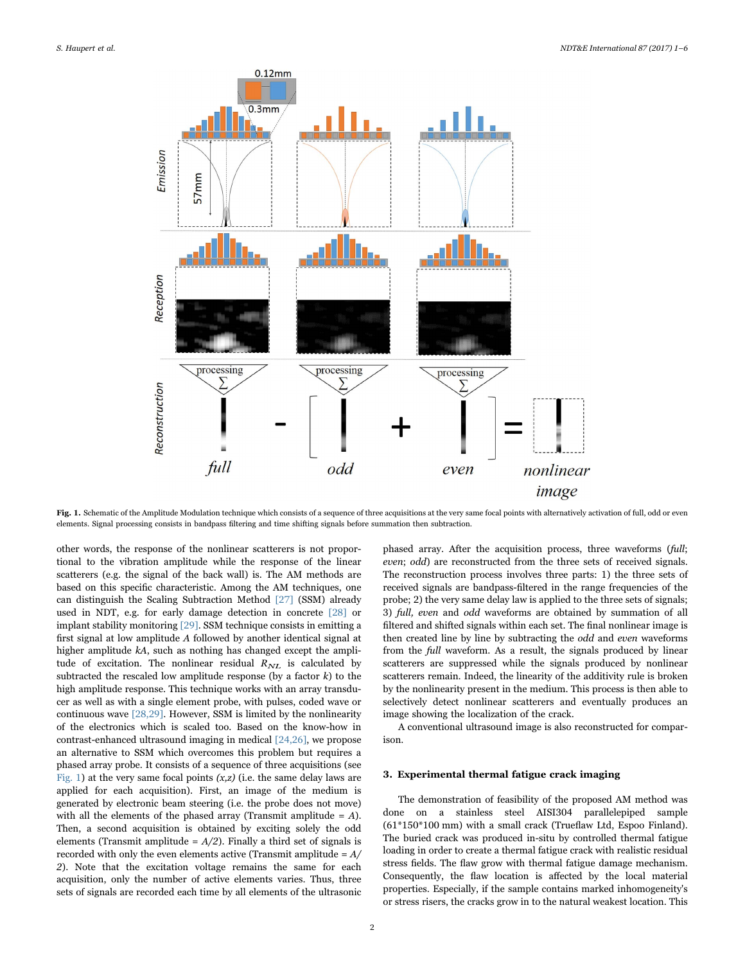

Fig. 1. Schematic of the Amplitude Modulation technique which consists of a sequence of three acquisitions at the very same focal points with alternatively activation of full, odd or even elements. Signal processing consists in bandpass filtering and time shifting signals before summation then subtraction.

other words, the response of the nonlinear scatterers is not proportional to the vibration amplitude while the response of the linear scatterers (e.g. the signal of the back wall) is. The AM methods are based on this specific characteristic. Among the AM techniques, one can distinguish the Scaling Subtraction Method [27] (SSM) already used in NDT, e.g. for early damage detection in concrete [28] or implant stability monitoring [29]. SSM technique consists in emitting a first signal at low amplitude A followed by another identical signal at higher amplitude kA, such as nothing has changed except the amplitude of excitation. The nonlinear residual  $R_{NL}$  is calculated by subtracted the rescaled low amplitude response (by a factor  $k$ ) to the high amplitude response. This technique works with an array transducer as well as with a single element probe, with pulses, coded wave or continuous wave [28,29]. However, SSM is limited by the nonlinearity of the electronics which is scaled too. Based on the know-how in contrast-enhanced ultrasound imaging in medical [24,26], we propose an alternative to SSM which overcomes this problem but requires a phased array probe. It consists of a sequence of three acquisitions (see Fig. 1) at the very same focal points  $(x, z)$  (i.e. the same delay laws are applied for each acquisition). First, an image of the medium is generated by electronic beam steering (i.e. the probe does not move) with all the elements of the phased array (Transmit amplitude  $= A$ ). Then, a second acquisition is obtained by exciting solely the odd elements (Transmit amplitude =  $A/2$ ). Finally a third set of signals is recorded with only the even elements active (Transmit amplitude  $= A/$ 2). Note that the excitation voltage remains the same for each acquisition, only the number of active elements varies. Thus, three sets of signals are recorded each time by all elements of the ultrasonic phased array. After the acquisition process, three waveforms (full; even; odd) are reconstructed from the three sets of received signals. The reconstruction process involves three parts: 1) the three sets of received signals are bandpass-filtered in the range frequencies of the probe; 2) the very same delay law is applied to the three sets of signals; 3) full, even and odd waveforms are obtained by summation of all filtered and shifted signals within each set. The final nonlinear image is then created line by line by subtracting the odd and even waveforms from the full waveform. As a result, the signals produced by linear scatterers are suppressed while the signals produced by nonlinear scatterers remain. Indeed, the linearity of the additivity rule is broken by the nonlinearity present in the medium. This process is then able to selectively detect nonlinear scatterers and eventually produces an image showing the localization of the crack.

A conventional ultrasound image is also reconstructed for comparison.

#### 3. Experimental thermal fatigue crack imaging

The demonstration of feasibility of the proposed AM method was done on a stainless steel AISI304 parallelepiped sample (61\*150\*100 mm) with a small crack (Trueflaw Ltd, Espoo Finland). The buried crack was produced in-situ by controlled thermal fatigue loading in order to create a thermal fatigue crack with realistic residual stress fields. The flaw grow with thermal fatigue damage mechanism. Consequently, the flaw location is affected by the local material properties. Especially, if the sample contains marked inhomogeneity's or stress risers, the cracks grow in to the natural weakest location. This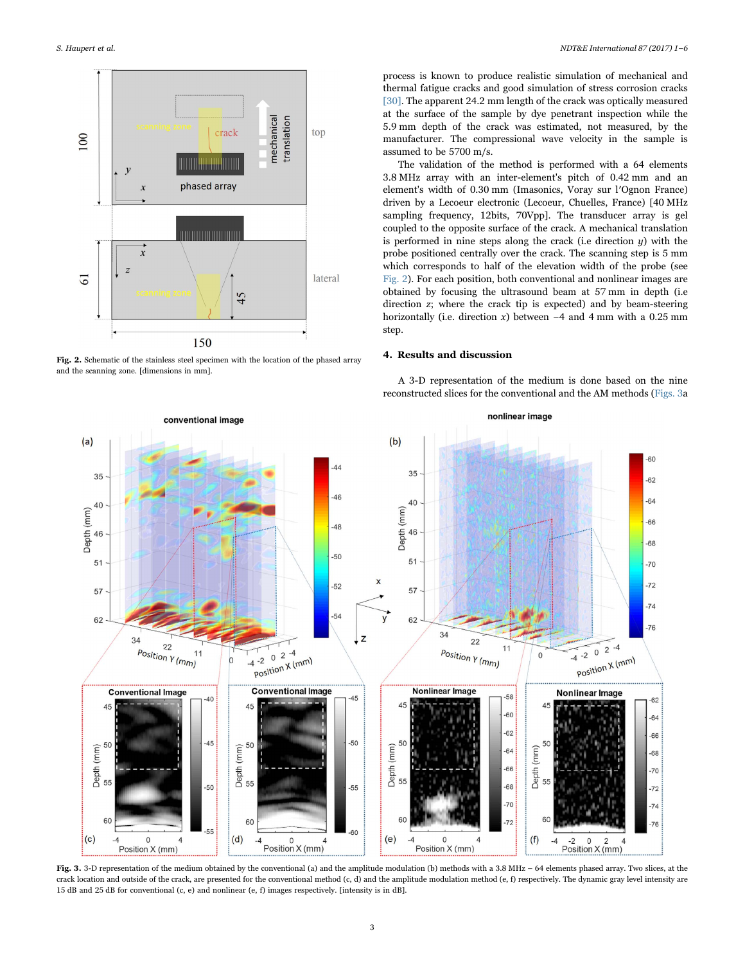

Fig. 2. Schematic of the stainless steel specimen with the location of the phased array and the scanning zone. [dimensions in mm].

process is known to produce realistic simulation of mechanical and thermal fatigue cracks and good simulation of stress corrosion cracks [30]. The apparent 24.2 mm length of the crack was optically measured at the surface of the sample by dye penetrant inspection while the 5.9 mm depth of the crack was estimated, not measured, by the manufacturer. The compressional wave velocity in the sample is assumed to be 5700 m/s.

The validation of the method is performed with a 64 elements 3.8 MHz array with an inter-element's pitch of 0.42 mm and an element's width of 0.30 mm (Imasonics, Voray sur l′Ognon France) driven by a Lecoeur electronic (Lecoeur, Chuelles, France) [40 MHz sampling frequency, 12bits, 70Vpp]. The transducer array is gel coupled to the opposite surface of the crack. A mechanical translation is performed in nine steps along the crack (i.e direction  $y$ ) with the probe positioned centrally over the crack. The scanning step is 5 mm which corresponds to half of the elevation width of the probe (see Fig. 2). For each position, both conventional and nonlinear images are obtained by focusing the ultrasound beam at 57 mm in depth (i.e direction z; where the crack tip is expected) and by beam-steering horizontally (i.e. direction x) between  $-4$  and 4 mm with a 0.25 mm step.

## 4. Results and discussion

A 3-D representation of the medium is done based on the nine reconstructed slices for the conventional and the AM methods (Figs. 3a



Fig. 3. 3-D representation of the medium obtained by the conventional (a) and the amplitude modulation (b) methods with a 3.8 MHz – 64 elements phased array. Two slices, at the crack location and outside of the crack, are presented for the conventional method (c, d) and the amplitude modulation method (e, f) respectively. The dynamic gray level intensity are 15 dB and 25 dB for conventional (c, e) and nonlinear (e, f) images respectively. [intensity is in dB].

3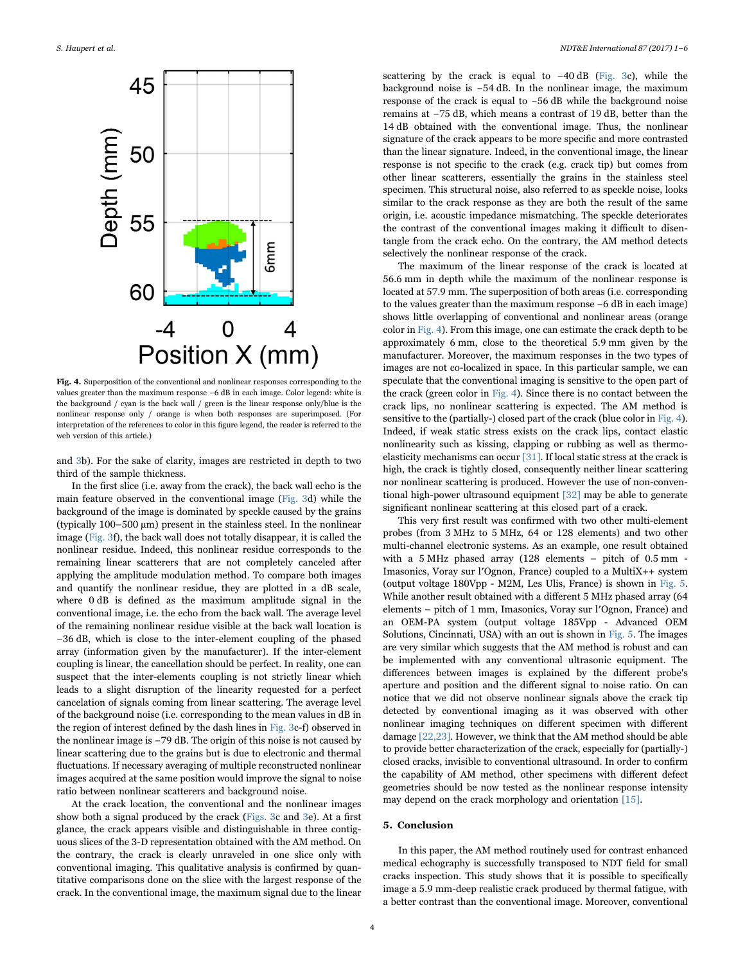

Fig. 4. Superposition of the conventional and nonlinear responses corresponding to the values greater than the maximum response −6 dB in each image. Color legend: white is the background / cyan is the back wall / green is the linear response only/blue is the nonlinear response only / orange is when both responses are superimposed. (For interpretation of the references to color in this figure legend, the reader is referred to the web version of this article.)

and 3b). For the sake of clarity, images are restricted in depth to two third of the sample thickness.

In the first slice (i.e. away from the crack), the back wall echo is the main feature observed in the conventional image (Fig. 3d) while the background of the image is dominated by speckle caused by the grains (typically 100–500 µm) present in the stainless steel. In the nonlinear image (Fig. 3f), the back wall does not totally disappear, it is called the nonlinear residue. Indeed, this nonlinear residue corresponds to the remaining linear scatterers that are not completely canceled after applying the amplitude modulation method. To compare both images and quantify the nonlinear residue, they are plotted in a dB scale, where 0 dB is defined as the maximum amplitude signal in the conventional image, i.e. the echo from the back wall. The average level of the remaining nonlinear residue visible at the back wall location is −36 dB, which is close to the inter-element coupling of the phased array (information given by the manufacturer). If the inter-element coupling is linear, the cancellation should be perfect. In reality, one can suspect that the inter-elements coupling is not strictly linear which leads to a slight disruption of the linearity requested for a perfect cancelation of signals coming from linear scattering. The average level of the background noise (i.e. corresponding to the mean values in dB in the region of interest defined by the dash lines in Fig. 3c-f) observed in the nonlinear image is −79 dB. The origin of this noise is not caused by linear scattering due to the grains but is due to electronic and thermal fluctuations. If necessary averaging of multiple reconstructed nonlinear images acquired at the same position would improve the signal to noise ratio between nonlinear scatterers and background noise.

At the crack location, the conventional and the nonlinear images show both a signal produced by the crack (Figs. 3c and 3e). At a first glance, the crack appears visible and distinguishable in three contiguous slices of the 3-D representation obtained with the AM method. On the contrary, the crack is clearly unraveled in one slice only with conventional imaging. This qualitative analysis is confirmed by quantitative comparisons done on the slice with the largest response of the crack. In the conventional image, the maximum signal due to the linear scattering by the crack is equal to −40 dB (Fig. 3c), while the background noise is −54 dB. In the nonlinear image, the maximum response of the crack is equal to −56 dB while the background noise remains at −75 dB, which means a contrast of 19 dB, better than the 14 dB obtained with the conventional image. Thus, the nonlinear signature of the crack appears to be more specific and more contrasted than the linear signature. Indeed, in the conventional image, the linear response is not specific to the crack (e.g. crack tip) but comes from other linear scatterers, essentially the grains in the stainless steel specimen. This structural noise, also referred to as speckle noise, looks similar to the crack response as they are both the result of the same origin, i.e. acoustic impedance mismatching. The speckle deteriorates the contrast of the conventional images making it difficult to disentangle from the crack echo. On the contrary, the AM method detects selectively the nonlinear response of the crack.

The maximum of the linear response of the crack is located at 56.6 mm in depth while the maximum of the nonlinear response is located at 57.9 mm. The superposition of both areas (i.e. corresponding to the values greater than the maximum response −6 dB in each image) shows little overlapping of conventional and nonlinear areas (orange color in Fig. 4). From this image, one can estimate the crack depth to be approximately 6 mm, close to the theoretical 5.9 mm given by the manufacturer. Moreover, the maximum responses in the two types of images are not co-localized in space. In this particular sample, we can speculate that the conventional imaging is sensitive to the open part of the crack (green color in Fig. 4). Since there is no contact between the crack lips, no nonlinear scattering is expected. The AM method is sensitive to the (partially-) closed part of the crack (blue color in Fig. 4). Indeed, if weak static stress exists on the crack lips, contact elastic nonlinearity such as kissing, clapping or rubbing as well as thermoelasticity mechanisms can occur [31]. If local static stress at the crack is high, the crack is tightly closed, consequently neither linear scattering nor nonlinear scattering is produced. However the use of non-conventional high-power ultrasound equipment [32] may be able to generate significant nonlinear scattering at this closed part of a crack.

This very first result was confirmed with two other multi-element probes (from 3 MHz to 5 MHz, 64 or 128 elements) and two other multi-channel electronic systems. As an example, one result obtained with a 5 MHz phased array (128 elements – pitch of 0.5 mm - Imasonics, Voray sur l′Ognon, France) coupled to a MultiX++ system (output voltage 180Vpp - M2M, Les Ulis, France) is shown in Fig. 5. While another result obtained with a different 5 MHz phased array (64 elements – pitch of 1 mm, Imasonics, Voray sur l′Ognon, France) and an OEM-PA system (output voltage 185Vpp - Advanced OEM Solutions, Cincinnati, USA) with an out is shown in Fig. 5. The images are very similar which suggests that the AM method is robust and can be implemented with any conventional ultrasonic equipment. The differences between images is explained by the different probe's aperture and position and the different signal to noise ratio. On can notice that we did not observe nonlinear signals above the crack tip detected by conventional imaging as it was observed with other nonlinear imaging techniques on different specimen with different damage [22,23]. However, we think that the AM method should be able to provide better characterization of the crack, especially for (partially-) closed cracks, invisible to conventional ultrasound. In order to confirm the capability of AM method, other specimens with different defect geometries should be now tested as the nonlinear response intensity may depend on the crack morphology and orientation [15].

#### 5. Conclusion

In this paper, the AM method routinely used for contrast enhanced medical echography is successfully transposed to NDT field for small cracks inspection. This study shows that it is possible to specifically image a 5.9 mm-deep realistic crack produced by thermal fatigue, with a better contrast than the conventional image. Moreover, conventional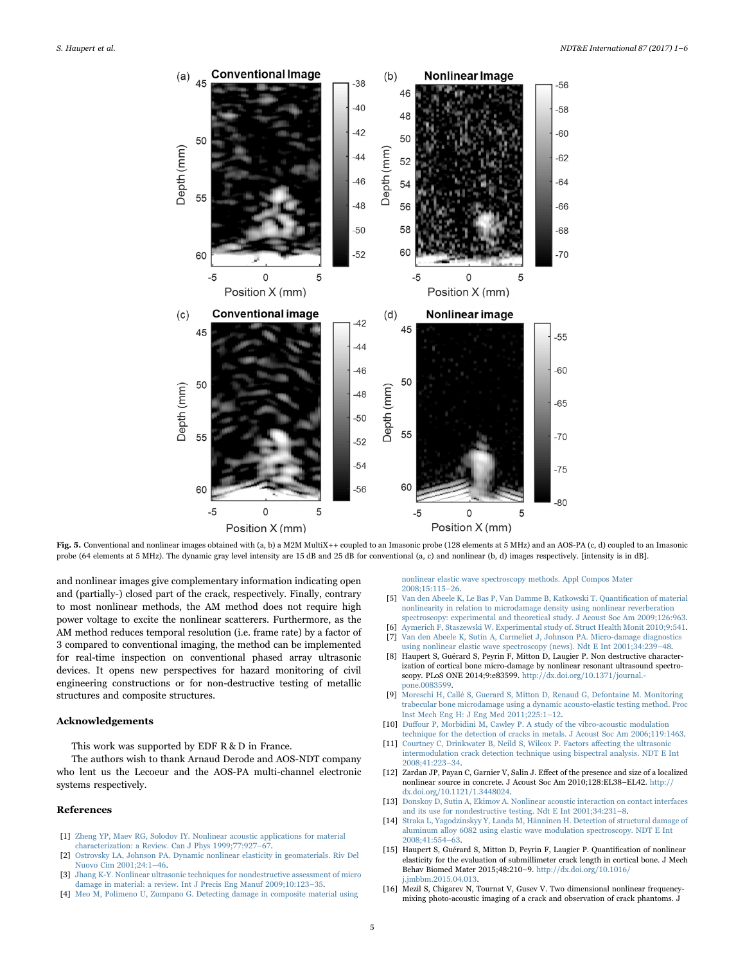

Fig. 5. Conventional and nonlinear images obtained with (a, b) a M2M MultiX++ coupled to an Imasonic probe (128 elements at 5 MHz) and an AOS-PA (c, d) coupled to an Imasonic probe (64 elements at 5 MHz). The dynamic gray level intensity are 15 dB and 25 dB for conventional (a, c) and nonlinear (b, d) images respectively. [intensity is in dB].

and nonlinear images give complementary information indicating open and (partially-) closed part of the crack, respectively. Finally, contrary to most nonlinear methods, the AM method does not require high power voltage to excite the nonlinear scatterers. Furthermore, as the AM method reduces temporal resolution (i.e. frame rate) by a factor of 3 compared to conventional imaging, the method can be implemented for real-time inspection on conventional phased array ultrasonic devices. It opens new perspectives for hazard monitoring of civil engineering constructions or for non-destructive testing of metallic structures and composite structures.

#### Acknowledgements

This work was supported by EDF R & D in France.

The authors wish to thank Arnaud Derode and AOS-NDT company who lent us the Lecoeur and the AOS-PA multi-channel electronic systems respectively.

#### References

- [1] Zheng YP, Maev RG, Solodov IY. Nonlinear acoustic applications for material characterization: a Review. Can J Phys 1999;77:927–67.
- [2] Ostrovsky LA, Johnson PA. Dynamic nonlinear elasticity in geomaterials. Riv Del Nuovo Cim 2001;24:1–46.
- [3] Jhang K-Y. Nonlinear ultrasonic techniques for nondestructive assessment of micro damage in material: a review. Int J Precis Eng Manuf 2009;10:123–35.
- [4] Meo M, Polimeno U, Zumpano G. Detecting damage in composite material using

nonlinear elastic wave spectroscopy methods. Appl Compos Mater 2008;15:115–26.

- [5] Van den Abeele K, Le Bas P, Van Damme B, Katkowski T. Quantification of material nonlinearity in relation to microdamage density using nonlinear reverberation spectroscopy: experimental and theoretical study. J Acoust Soc Am 2009;126:963.
- [6] Aymerich F, Staszewski W. Experimental study of. Struct Health Monit 2010;9:541. [7] Van den Abeele K, Sutin A, Carmeliet J, Johnson PA. Micro-damage diagnostics
- using nonlinear elastic wave spectroscopy (news). Ndt E Int 2001;34:239–48. [8] Haupert S, Guérard S, Peyrin F, Mitton D, Laugier P. Non destructive character-
- ization of cortical bone micro-damage by nonlinear resonant ultrasound spectroscopy. PLoS ONE 2014;9:e83599. http://dx.doi.org/10.1371/journal. pone.0083599.
- [9] Moreschi H, Callé S, Guerard S, Mitton D, Renaud G, Defontaine M. Monitoring trabecular bone microdamage using a dynamic acousto-elastic testing method. Proc Inst Mech Eng H: J Eng Med 2011;225:1–12.
- [10] Duffour P, Morbidini M, Cawley P. A study of the vibro-acoustic modulation technique for the detection of cracks in metals. J Acoust Soc Am 2006;119:1463.
- [11] Courtney C, Drinkwater B, Neild S, Wilcox P. Factors affecting the ultrasonic intermodulation crack detection technique using bispectral analysis. NDT E Int 2008;41:223–34.
- [12] Zardan JP, Payan C, Garnier V, Salin J. Effect of the presence and size of a localized nonlinear source in concrete. J Acoust Soc Am 2010;128:EL38–EL42. http:// dx.doi.org/10.1121/1.3448024.
- [13] Donskoy D, Sutin A, Ekimov A. Nonlinear acoustic interaction on contact interfaces and its use for nondestructive testing. Ndt E Int 2001;34:231–8.
- [14] Straka L, Yagodzinskyy Y, Landa M, Hänninen H. Detection of structural damage of aluminum alloy 6082 using elastic wave modulation spectroscopy. NDT E Int 2008;41:554–63.
- [15] Haupert S, Guérard S, Mitton D, Peyrin F, Laugier P. Quantification of nonlinear elasticity for the evaluation of submillimeter crack length in cortical bone. J Mech Behav Biomed Mater 2015;48:210–9. http://dx.doi.org/10.1016/ j.jmbbm.2015.04.013.
- [16] Mezil S, Chigarev N, Tournat V, Gusev V. Two dimensional nonlinear frequencymixing photo-acoustic imaging of a crack and observation of crack phantoms. J